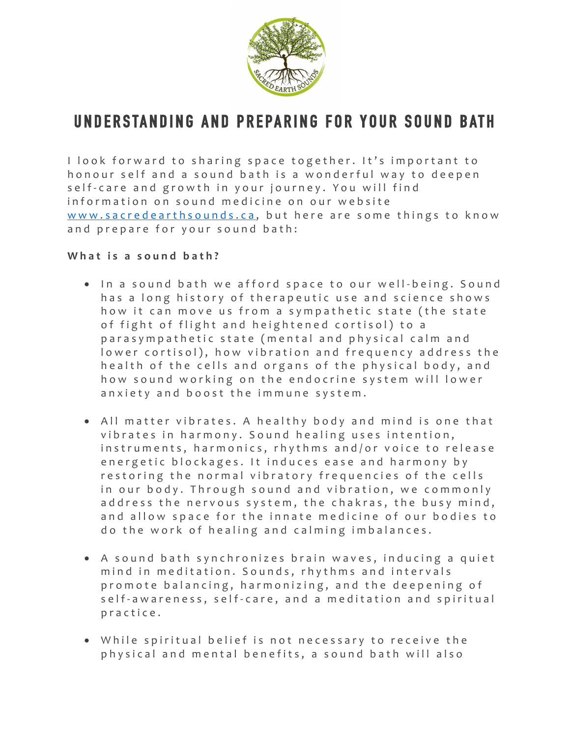

# **UNDERSTANDING AND PREPARING FOR YOUR SOUND BATH**

I look forward to sharing space together. It's important to honour self and a sound bath is a wonderful way to deepen self-care and growth in your journey. You will find information on sound medicine on our website www.sacredearthsounds.ca, but here are some things to know and prepare for your sound bath:

# What is a sound bath?

- In a sound bath we afford space to our well-being. Sound has a long history of therapeutic use and science shows how it can move us from a sympathetic state (the state of fight of flight and heightened cortisol) to a parasympathetic state (mental and physical calm and lower cortisol), how vibration and frequency address the health of the cells and organs of the physical body, and how sound working on the endocrine system will lower anxiety and boost the immune system.
- All matter vibrates. A healthy body and mind is one that vibrates in harmony. Sound healing uses intention, instruments, harmonics, rhythms and/or voice to release energetic blockages. It induces ease and harmony by restoring the normal vibratory frequencies of the cells in our body. Through sound and vibration, we commonly address the nervous system, the chakras, the busy mind, and allow space for the innate medicine of our bodies to do the work of healing and calming imbalances.
- A sound bath synchronizes brain waves, inducing a quiet mind in m editation. Sounds, rhythms and intervals promote balancing, harmonizing, and the deepening of self-awareness, self-care, and a meditation and spiritual pra ctice .
- While spiritual belief is not necessary to receive the physical and mental benefits, a sound bath will also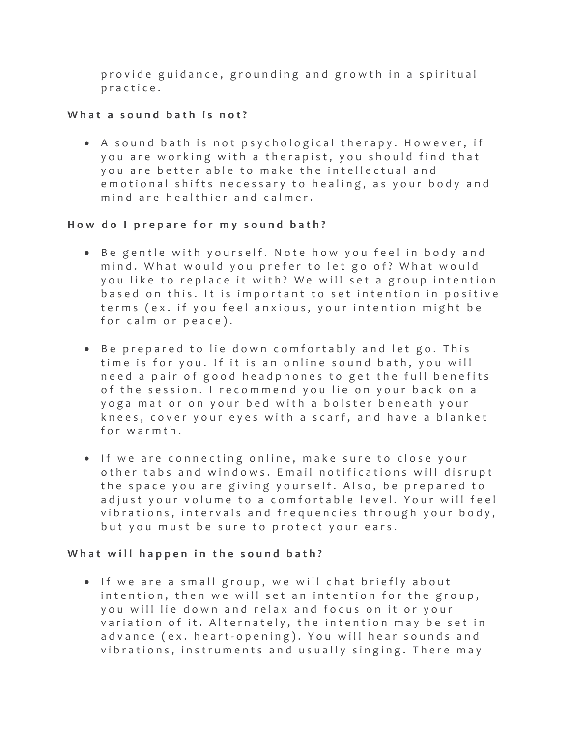provide guidance, grounding and growth in a spiritual practice.

# **What a sound bath is not?**

• A sound bath is not psychological therapy. However, if you are working with a therapist, you should find that you are better able to make the intellectual and emotional shifts necessary to healing, as your body and mind are healthier and calmer.

# How do I prepare for my sound bath?

- Be gentle with yourself. Note how you feel in body and mind. What would you prefer to let go of? What would you like to replace it with? We will set a group intention based on this . It is important to set intention in positive terms (ex. if you feel anxious, your intention might be for calm or peace).
- Be prepared to lie down comfortably and let go. This time is for you. If it is an online sound bath, you will need a pair of good headphones to get the full benefits of the session. I recommend you lie on your back on a yoga mat or on your bed with a bolster beneath your knees, cover your eyes with a scarf , and have a blanket for warmth.
- If we are connecting online, make sure to close your other tabs and windows . Email notifications will disrupt the space you are giving yourself. Also, be prepared to adjust your volume to a comfortable level. Your will feel vibrations, intervals and frequencies through your body, but you must be sure to protect your ears.

### What will happen in the sound bath?

• If we are a small group, we will chat briefly about intention, then we will set an intention for the group, you will lie down and relax and focus on it or your variation of it. Alternately, the intention may be set in advance (ex. heart-opening). You will hear sounds and vibrations, instruments and usually singing. There may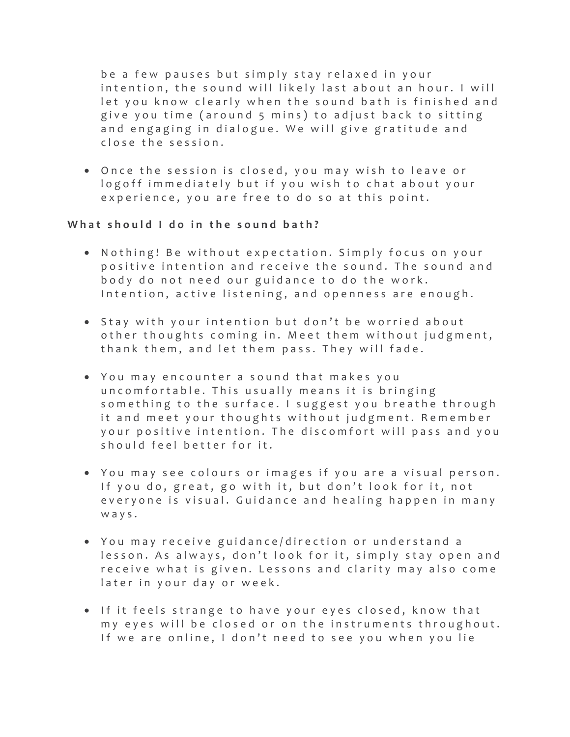be a few pauses but simply stay relaxed in your intention, the sound will likely last about an hour. I will let you know clearly when the sound bath is finished and give you time (around 5 mins) to adjust back to sitting and engaging in dialogue. We will give gratitude and close the session.

• Once the session is closed, y ou may wish to leave or logoff immediately but if you wish to chat about your experience, you are free to do so at this point.

### What should I do in the sound bath?

- Nothing! Be without expectation. Simply focus on your positive intention and receive the sound. The sound and body do not need our guidance to do the work . Intention, active listening, and openness are enough.
- Stay with your intention but don't be worried about other thoughts coming in. Meet them without judgment, thank them, and let them pass. They will fade.
- You may encounter a sound that makes you uncomfortable. This usually means it is bringing something to the surface. I suggest you breathe through it and meet your thoughts without judgment. Remember your positive intention. The discomfort will pass and you should feel better for it.
- You may see colours or ima ges if you are a visual person. If you do, great, go with it, but don't look for it, not everyone is visual. Guidance and healing happen in many ways.
- You may receive guidance/direction or understand a lesson. As always, don't look for it, simply stay open and receive what is given. Lessons and clarity may also come later in your day or week.
- If it feels strange to have your eyes closed, know that my eyes will be closed or on the instruments throughout. If we are online, I don't need to see you when you lie